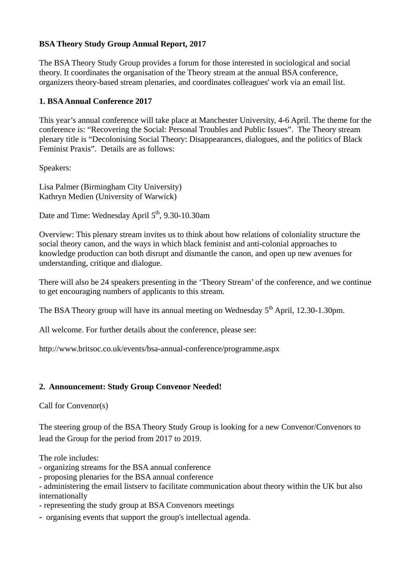## **BSA Theory Study Group Annual Report, 2017**

The BSA Theory Study Group provides a forum for those interested in sociological and social theory. It coordinates the organisation of the Theory stream at the annual BSA conference, organizers theory-based stream plenaries, and coordinates colleagues' work via an email list.

## **1. BSA Annual Conference 2017**

This year's annual conference will take place at Manchester University, 4-6 April. The theme for the conference is: "Recovering the Social: Personal Troubles and Public Issues". The Theory stream plenary title is "Decolonising Social Theory: Disappearances, dialogues, and the politics of Black Feminist Praxis". Details are as follows:

Speakers:

Lisa Palmer (Birmingham City University) Kathryn Medien (University of Warwick)

Date and Time: Wednesday April 5<sup>th</sup>, 9.30-10.30am

Overview: This plenary stream invites us to think about how relations of coloniality structure the social theory canon, and the ways in which black feminist and anti-colonial approaches to knowledge production can both disrupt and dismantle the canon, and open up new avenues for understanding, critique and dialogue.

There will also be 24 speakers presenting in the 'Theory Stream' of the conference, and we continue to get encouraging numbers of applicants to this stream.

The BSA Theory group will have its annual meeting on Wednesday 5<sup>th</sup> April, 12.30-1.30pm.

All welcome. For further details about the conference, please see:

http://www.britsoc.co.uk/events/bsa-annual-conference/programme.aspx

## **2. Announcement: Study Group Convenor Needed!**

Call for Convenor(s)

The steering group of the BSA Theory Study Group is looking for a new Convenor/Convenors to lead the Group for the period from 2017 to 2019.

The role includes:

- organizing streams for the BSA annual conference
- proposing plenaries for the BSA annual conference
- administering the email listserv to facilitate communication about theory within the UK but also internationally
- representing the study group at BSA Convenors meetings
- organising events that support the group's intellectual agenda.